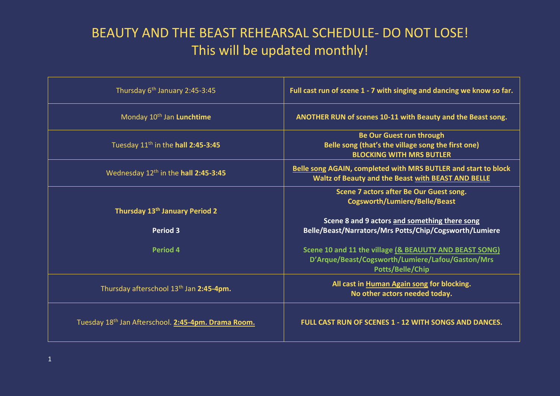## BEAUTY AND THE BEAST REHEARSAL SCHEDULE- DO NOT LOSE! This will be updated monthly!

| Thursday 6 <sup>th</sup> January 2:45-3:45                    | Full cast run of scene 1 - 7 with singing and dancing we know so far.                                                                                                                      |
|---------------------------------------------------------------|--------------------------------------------------------------------------------------------------------------------------------------------------------------------------------------------|
| Monday 10 <sup>th</sup> Jan Lunchtime                         | ANOTHER RUN of scenes 10-11 with Beauty and the Beast song.                                                                                                                                |
| Tuesday 11 <sup>th</sup> in the hall 2:45-3:45                | <b>Be Our Guest run through</b><br>Belle song (that's the village song the first one)<br><b>BLOCKING WITH MRS BUTLER</b>                                                                   |
| Wednesday 12 <sup>th</sup> in the hall 2:45-3:45              | <b>Belle song AGAIN, completed with MRS BUTLER and start to block</b><br>Waltz of Beauty and the Beast with BEAST AND BELLE                                                                |
| Thursday 13 <sup>th</sup> January Period 2<br><b>Period 3</b> | Scene 7 actors after Be Our Guest song.<br><b>Cogsworth/Lumiere/Belle/Beast</b><br>Scene 8 and 9 actors and something there song<br>Belle/Beast/Narrators/Mrs Potts/Chip/Cogsworth/Lumiere |
| Period 4                                                      | Scene 10 and 11 the village (& BEAUUTY AND BEAST SONG)<br>D'Arque/Beast/Cogsworth/Lumiere/Lafou/Gaston/Mrs<br>Potts/Belle/Chip                                                             |
| Thursday afterschool 13 <sup>th</sup> Jan 2:45-4pm.           | All cast in Human Again song for blocking.<br>No other actors needed today.                                                                                                                |
| Tuesday 18th Jan Afterschool. 2:45-4pm. Drama Room.           | FULL CAST RUN OF SCENES 1 - 12 WITH SONGS AND DANCES.                                                                                                                                      |